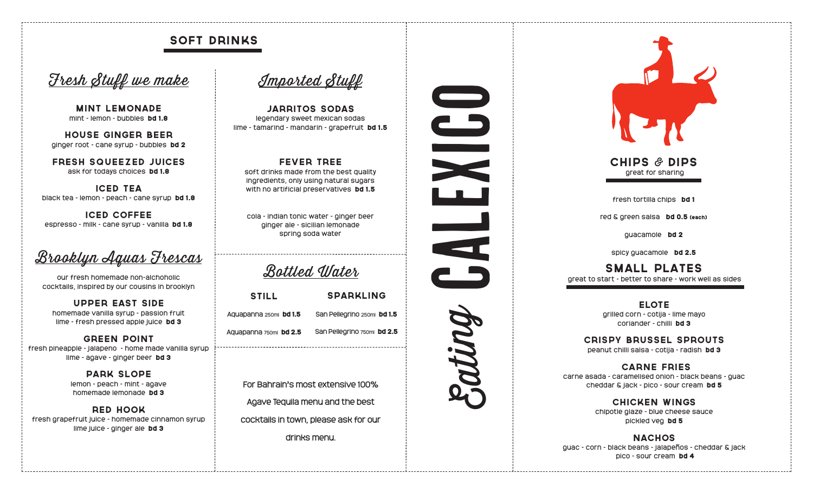## soft drinks

# Fresh Stuff we make

mint lemonade mint - lemon - bubbles bd 1.8

house ginger beer ginger root - cane syrup - bubbles bd 2

Fresh Squeezed Juices ask for todays choices bd 1.8

iced tea black tea - lemon - peach - cane syrup bd 1.8

iced coffee espresso - milk - cane syrup - vanilla bd 1.8

Brooklyn Aquas Frescas

our fresh homemade non-alchoholic cocktails, inspired by our cousins in brooklyn

Upper East Side homemade vanilla syrup - passion fruit lime - fresh pressed apple juice bd 3

Green point fresh pineapple - jalapeno - home made vanilla syrup lime - agave - ginger beer bd 3

> Park Slope lemon - peach - mint - agave homemade lemonade bd 3

Red Hook fresh grapefruit juice - homemade cinnamon syrup lime juice - ginger ale bd 3

Imported Stuff

Jarritos SodaS legendary sweet mexican sodas lime - tamarind - mandarin - grapefruit bd 1.5

Fever Tree soft drinks made from the best quality ingredients, only using natural sugars with no artificial preservatives bd 1.5

cola - indian tonic water - ginger beer ginger ale - sicilian lemonade spring soda water

Bottled Water

| <b>STILL</b>           | <b>SPARKLING</b>            |
|------------------------|-----------------------------|
| Aquapanna 250mi bd 1.5 | San Pellegrino 250ml bd 1.5 |
| Aquapanna 750ml bd 2.5 | San Pellegrino 750ml bd 2.5 |

For Bahrain's most extensive 100% Agave Tequila menu and the best cocktails in town, please ask for our drinks menu.





Chips & Dips great for sharing

fresh tortilla chips bd 1

red & green salsa bd 0.5 (each)

guacamole bd 2

spicy quacamole bd 2.5

Small plates great to start - better to share - work well as sides

> ELOTE grilled corn - cotija - lime mayo coriander - chilli bd 3

CRISPY Brussel Sprouts peanut chilli salsa - cotija - radish bd 3

 CARNE FRIES carne asada - caramelised onion - black beans - guac cheddar & jack - pico - sour cream bd 5

> CHICKEN WINGS chipotle glaze - blue cheese sauce pickled veg bd 5

**NACHOS** guac - corn - black beans - jalapeños - cheddar & jack pico - sour cream bd 4